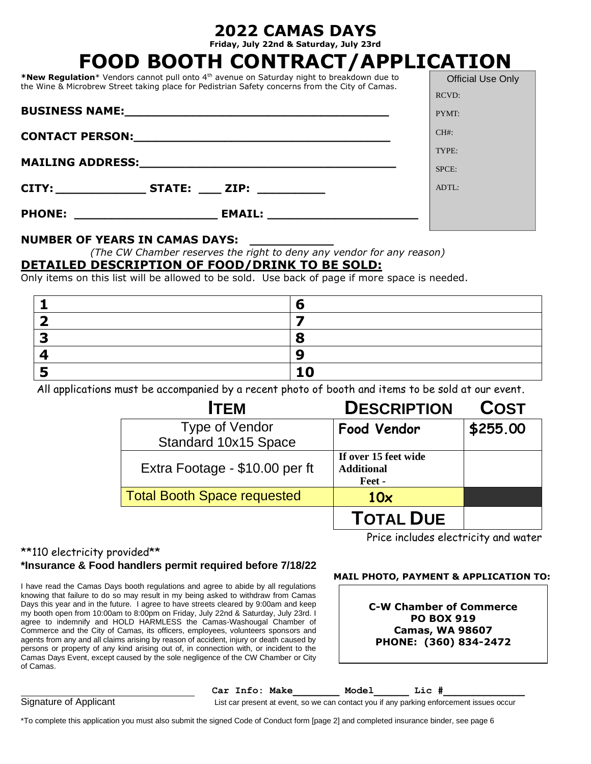**Friday, July 22nd & Saturday, July 23rd**

|                             |                                       |                                                                                                                                                                                                           | FOOD BOOTH CONTRACT/APPLICATION                                                                    |                          |
|-----------------------------|---------------------------------------|-----------------------------------------------------------------------------------------------------------------------------------------------------------------------------------------------------------|----------------------------------------------------------------------------------------------------|--------------------------|
|                             |                                       | *New Regulation* Vendors cannot pull onto 4 <sup>th</sup> avenue on Saturday night to breakdown due to<br>the Wine & Microbrew Street taking place for Pedistrian Safety concerns from the City of Camas. |                                                                                                    | <b>Official Use Only</b> |
|                             |                                       |                                                                                                                                                                                                           |                                                                                                    | <b>RCVD:</b>             |
| <b>BUSINESS NAME:</b> NAME: |                                       |                                                                                                                                                                                                           | PYMT:                                                                                              |                          |
|                             |                                       |                                                                                                                                                                                                           | $CH#$ :                                                                                            |                          |
|                             |                                       |                                                                                                                                                                                                           |                                                                                                    | TYPE:                    |
|                             |                                       |                                                                                                                                                                                                           |                                                                                                    | SPCE:                    |
|                             |                                       | CITY: _____________________STATE: ______ ZIP: ______________                                                                                                                                              |                                                                                                    | $ADTL$ :                 |
|                             |                                       |                                                                                                                                                                                                           |                                                                                                    |                          |
|                             |                                       |                                                                                                                                                                                                           |                                                                                                    |                          |
|                             | <b>NUMBER OF YEARS IN CAMAS DAYS:</b> |                                                                                                                                                                                                           |                                                                                                    |                          |
|                             |                                       |                                                                                                                                                                                                           | (The CW Chamber reserves the right to deny any vendor for any reason)                              |                          |
|                             |                                       | DETAILED DESCRIPTION OF FOOD/DRINK TO BE SOLD:                                                                                                                                                            |                                                                                                    |                          |
|                             |                                       |                                                                                                                                                                                                           | Only items on this list will be allowed to be sold. Use back of page if more space is needed.      |                          |
| 1                           |                                       | 6                                                                                                                                                                                                         |                                                                                                    |                          |
| $\overline{\mathbf{2}}$     |                                       | $\overline{\mathbf{z}}$                                                                                                                                                                                   |                                                                                                    |                          |
| 3                           |                                       | 8                                                                                                                                                                                                         |                                                                                                    |                          |
| 4                           |                                       | $\boldsymbol{9}$                                                                                                                                                                                          |                                                                                                    |                          |
| 5                           |                                       | 10                                                                                                                                                                                                        |                                                                                                    |                          |
|                             |                                       |                                                                                                                                                                                                           | All applications must be accompanied by a recent photo of booth and items to be sold at our event. |                          |
|                             |                                       | <b>ITEM</b>                                                                                                                                                                                               | <b>DESCRIPTION</b>                                                                                 | <b>COST</b>              |
|                             | Type of Vendor                        |                                                                                                                                                                                                           | <b>Food Vendor</b>                                                                                 | \$255.00                 |
|                             | Standard 10x15 Space                  |                                                                                                                                                                                                           |                                                                                                    |                          |
|                             | Extra Footage - \$10.00 per ft        |                                                                                                                                                                                                           | If over 15 feet wide<br><b>Additional</b>                                                          |                          |

\*\*110 electricity provided\*\*

### **\*Insurance & Food handlers permit required before 7/18/22**

I have read the Camas Days booth regulations and agree to abide by all regulations knowing that failure to do so may result in my being asked to withdraw from Camas Days this year and in the future. I agree to have streets cleared by 9:00am and keep my booth open from 10:00am to 8:00pm on Friday, July 22nd & Saturday, July 23rd. I agree to indemnify and HOLD HARMLESS the Camas-Washougal Chamber of Commerce and the City of Camas, its officers, employees, volunteers sponsors and agents from any and all claims arising by reason of accident, injury or death caused by persons or property of any kind arising out of, in connection with, or incident to the Camas Days Event, except caused by the sole negligence of the CW Chamber or City of Camas.

Price includes electricity and water

### **MAIL PHOTO, PAYMENT & APPLICATION TO:**

| <b>C-W Chamber of Commerce</b> |  |  |  |  |  |
|--------------------------------|--|--|--|--|--|
| <b>PO BOX 919</b>              |  |  |  |  |  |
| <b>Camas, WA 98607</b>         |  |  |  |  |  |
| PHONE: (360) 834-2472          |  |  |  |  |  |

Car Info: Make **Model** Lic # Signature of Applicant List car present at event, so we can contact you if any parking enforcement issues occur

 **Feet -**

**TOTAL DUE**

\*To complete this application you must also submit the signed Code of Conduct form [page 2] and completed insurance binder, see page 6

Total Booth Space requested 10x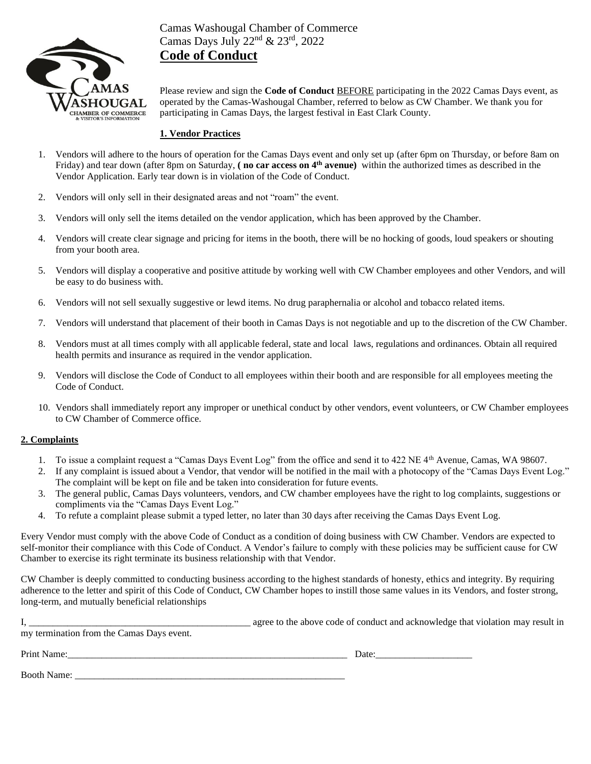

Camas Washougal Chamber of Commerce Camas Days July 22<sup>nd</sup> & 23<sup>rd</sup>, 2022 **Code of Conduct**

Please review and sign the **Code of Conduct** BEFORE participating in the 2022 Camas Days event, as operated by the Camas-Washougal Chamber, referred to below as CW Chamber. We thank you for participating in Camas Days, the largest festival in East Clark County.

#### **1. Vendor Practices**

- 1. Vendors will adhere to the hours of operation for the Camas Days event and only set up (after 6pm on Thursday, or before 8am on Friday) and tear down (after 8pm on Saturday, **( no car access on 4th avenue)** within the authorized times as described in the Vendor Application. Early tear down is in violation of the Code of Conduct.
- 2. Vendors will only sell in their designated areas and not "roam" the event.
- 3. Vendors will only sell the items detailed on the vendor application, which has been approved by the Chamber.
- 4. Vendors will create clear signage and pricing for items in the booth, there will be no hocking of goods, loud speakers or shouting from your booth area.
- 5. Vendors will display a cooperative and positive attitude by working well with CW Chamber employees and other Vendors, and will be easy to do business with.
- 6. Vendors will not sell sexually suggestive or lewd items. No drug paraphernalia or alcohol and tobacco related items.
- 7. Vendors will understand that placement of their booth in Camas Days is not negotiable and up to the discretion of the CW Chamber.
- 8. Vendors must at all times comply with all applicable federal, state and local laws, regulations and ordinances. Obtain all required health permits and insurance as required in the vendor application.
- 9. Vendors will disclose the Code of Conduct to all employees within their booth and are responsible for all employees meeting the Code of Conduct.
- 10. Vendors shall immediately report any improper or unethical conduct by other vendors, event volunteers, or CW Chamber employees to CW Chamber of Commerce office.

#### **2. Complaints**

- 1. To issue a complaint request a "Camas Days Event Log" from the office and send it to 422 NE 4th Avenue, Camas, WA 98607.
- 2. If any complaint is issued about a Vendor, that vendor will be notified in the mail with a photocopy of the "Camas Days Event Log." The complaint will be kept on file and be taken into consideration for future events.
- 3. The general public, Camas Days volunteers, vendors, and CW chamber employees have the right to log complaints, suggestions or compliments via the "Camas Days Event Log."
- 4. To refute a complaint please submit a typed letter, no later than 30 days after receiving the Camas Days Event Log.

Every Vendor must comply with the above Code of Conduct as a condition of doing business with CW Chamber. Vendors are expected to self-monitor their compliance with this Code of Conduct. A Vendor's failure to comply with these policies may be sufficient cause for CW Chamber to exercise its right terminate its business relationship with that Vendor.

CW Chamber is deeply committed to conducting business according to the highest standards of honesty, ethics and integrity. By requiring adherence to the letter and spirit of this Code of Conduct, CW Chamber hopes to instill those same values in its Vendors, and foster strong, long-term, and mutually beneficial relationships

| my termination from the Camas Days event. | agree to the above code of conduct and acknowledge that violation may result in |
|-------------------------------------------|---------------------------------------------------------------------------------|
| Print Name:                               | Date:                                                                           |
| <b>Booth Name:</b>                        |                                                                                 |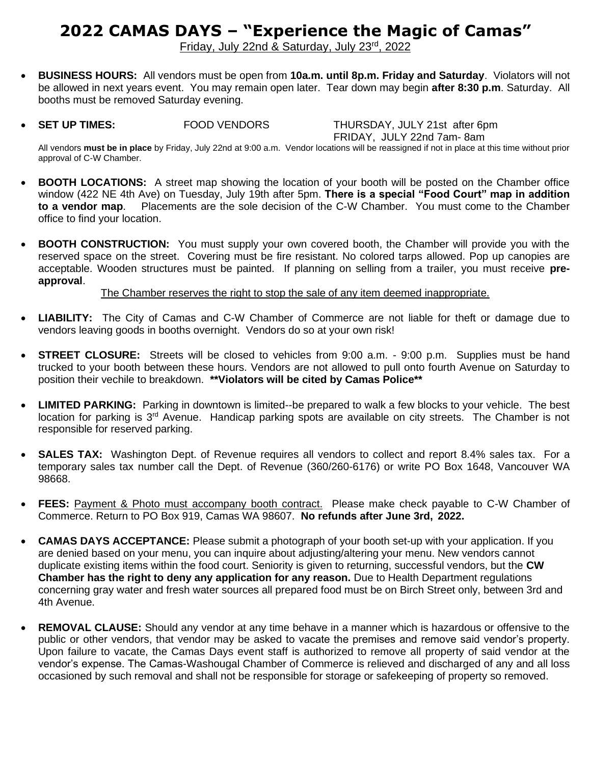# **2022 CAMAS DAYS – "Experience the Magic of Camas"**

Friday, July 22nd & Saturday, July 23rd, 2022

- **BUSINESS HOURS:** All vendors must be open from **10a.m. until 8p.m. Friday and Saturday**. Violators will not be allowed in next years event. You may remain open later. Tear down may begin **after 8:30 p.m**. Saturday. All booths must be removed Saturday evening.
- **SET UP TIMES:** FOOD VENDORS THURSDAY, JULY 21st after 6pm

FRIDAY, JULY 22nd 7am- 8am

All vendors **must be in place** by Friday, July 22nd at 9:00 a.m. Vendor locations will be reassigned if not in place at this time without prior approval of C-W Chamber.

- **BOOTH LOCATIONS:** A street map showing the location of your booth will be posted on the Chamber office window (422 NE 4th Ave) on Tuesday, July 19th after 5pm. **There is a special "Food Court" map in addition to a vendor map**. Placements are the sole decision of the C-W Chamber. You must come to the Chamber office to find your location.
- **BOOTH CONSTRUCTION:** You must supply your own covered booth, the Chamber will provide you with the reserved space on the street. Covering must be fire resistant. No colored tarps allowed. Pop up canopies are acceptable. Wooden structures must be painted. If planning on selling from a trailer, you must receive **preapproval**.

### The Chamber reserves the right to stop the sale of any item deemed inappropriate.

- **LIABILITY:** The City of Camas and C-W Chamber of Commerce are not liable for theft or damage due to vendors leaving goods in booths overnight. Vendors do so at your own risk!
- **STREET CLOSURE:** Streets will be closed to vehicles from 9:00 a.m. 9:00 p.m. Supplies must be hand trucked to your booth between these hours. Vendors are not allowed to pull onto fourth Avenue on Saturday to position their vechile to breakdown. **\*\*Violators will be cited by Camas Police\*\***
- **LIMITED PARKING:** Parking in downtown is limited--be prepared to walk a few blocks to your vehicle. The best location for parking is 3<sup>rd</sup> Avenue. Handicap parking spots are available on city streets. The Chamber is not responsible for reserved parking.
- **SALES TAX:** Washington Dept. of Revenue requires all vendors to collect and report 8.4% sales tax. For a temporary sales tax number call the Dept. of Revenue (360/260-6176) or write PO Box 1648, Vancouver WA 98668.
- **FEES:** Payment & Photo must accompany booth contract. Please make check payable to C-W Chamber of Commerce. Return to PO Box 919, Camas WA 98607. **No refunds after June 3rd, 2022.**
- **CAMAS DAYS ACCEPTANCE:** Please submit a photograph of your booth set-up with your application. If you are denied based on your menu, you can inquire about adjusting/altering your menu. New vendors cannot duplicate existing items within the food court. Seniority is given to returning, successful vendors, but the **CW Chamber has the right to deny any application for any reason.** Due to Health Department regulations concerning gray water and fresh water sources all prepared food must be on Birch Street only, between 3rd and 4th Avenue.
- **REMOVAL CLAUSE:** Should any vendor at any time behave in a manner which is hazardous or offensive to the public or other vendors, that vendor may be asked to vacate the premises and remove said vendor's property. Upon failure to vacate, the Camas Days event staff is authorized to remove all property of said vendor at the vendor's expense. The Camas-Washougal Chamber of Commerce is relieved and discharged of any and all loss occasioned by such removal and shall not be responsible for storage or safekeeping of property so removed.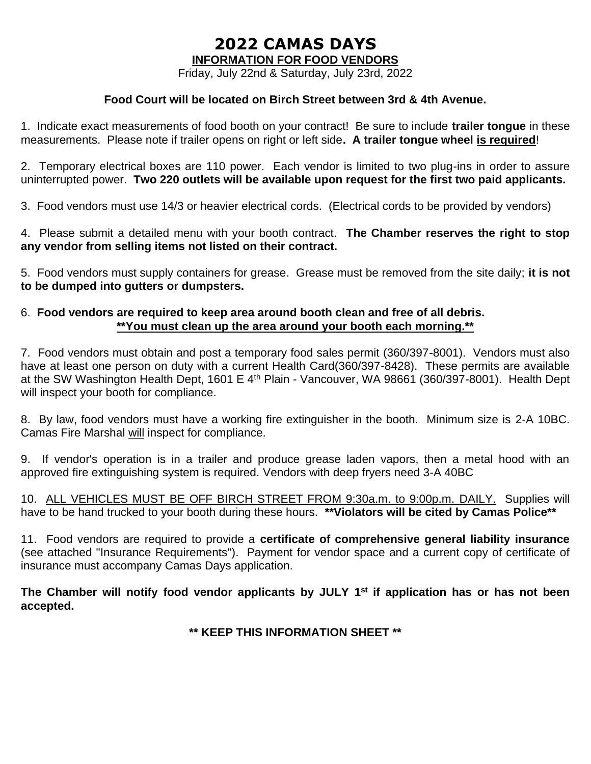**INFORMATION FOR FOOD VENDORS**

Friday, July 22nd & Saturday, July 23rd, 2022

### **Food Court will be located on Birch Street between 3rd & 4th Avenue.**

1. Indicate exact measurements of food booth on your contract! Be sure to include **trailer tongue** in these measurements. Please note if trailer opens on right or left side**. A trailer tongue wheel is required**!

2. Temporary electrical boxes are 110 power. Each vendor is limited to two plug-ins in order to assure uninterrupted power. **Two 220 outlets will be available upon request for the first two paid applicants.**

3. Food vendors must use 14/3 or heavier electrical cords. (Electrical cords to be provided by vendors)

4. Please submit a detailed menu with your booth contract. **The Chamber reserves the right to stop any vendor from selling items not listed on their contract.** 

5. Food vendors must supply containers for grease. Grease must be removed from the site daily; **it is not to be dumped into gutters or dumpsters.**

### 6. **Food vendors are required to keep area around booth clean and free of all debris. \*\*You must clean up the area around your booth each morning.\*\***

7. Food vendors must obtain and post a temporary food sales permit (360/397-8001). Vendors must also have at least one person on duty with a current Health Card(360/397-8428). These permits are available at the SW Washington Health Dept, 1601 E 4<sup>th</sup> Plain - Vancouver, WA 98661 (360/397-8001). Health Dept will inspect your booth for compliance.

8. By law, food vendors must have a working fire extinguisher in the booth. Minimum size is 2-A 10BC. Camas Fire Marshal will inspect for compliance.

9. If vendor's operation is in a trailer and produce grease laden vapors, then a metal hood with an approved fire extinguishing system is required. Vendors with deep fryers need 3-A 40BC

10. ALL VEHICLES MUST BE OFF BIRCH STREET FROM 9:30a.m. to 9:00p.m. DAILY. Supplies will have to be hand trucked to your booth during these hours. **\*\*Violators will be cited by Camas Police\*\***

11. Food vendors are required to provide a **certificate of comprehensive general liability insurance** (see attached "Insurance Requirements"). Payment for vendor space and a current copy of certificate of insurance must accompany Camas Days application.

**The Chamber will notify food vendor applicants by JULY 1 st if application has or has not been accepted.**

**\*\* KEEP THIS INFORMATION SHEET \*\***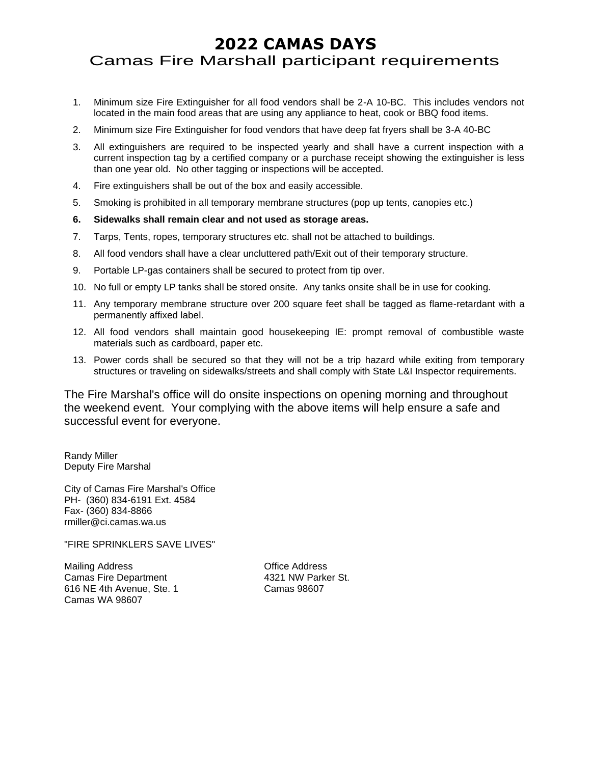## Camas Fire Marshall participant requirements

- 1. Minimum size Fire Extinguisher for all food vendors shall be 2-A 10-BC. This includes vendors not located in the main food areas that are using any appliance to heat, cook or BBQ food items.
- 2. Minimum size Fire Extinguisher for food vendors that have deep fat fryers shall be 3-A 40-BC
- 3. All extinguishers are required to be inspected yearly and shall have a current inspection with a current inspection tag by a certified company or a purchase receipt showing the extinguisher is less than one year old. No other tagging or inspections will be accepted.
- 4. Fire extinguishers shall be out of the box and easily accessible.
- 5. Smoking is prohibited in all temporary membrane structures (pop up tents, canopies etc.)
- **6. Sidewalks shall remain clear and not used as storage areas.**
- 7. Tarps, Tents, ropes, temporary structures etc. shall not be attached to buildings.
- 8. All food vendors shall have a clear uncluttered path/Exit out of their temporary structure.
- 9. Portable LP-gas containers shall be secured to protect from tip over.
- 10. No full or empty LP tanks shall be stored onsite. Any tanks onsite shall be in use for cooking.
- 11. Any temporary membrane structure over 200 square feet shall be tagged as flame-retardant with a permanently affixed label.
- 12. All food vendors shall maintain good housekeeping IE: prompt removal of combustible waste materials such as cardboard, paper etc.
- 13. Power cords shall be secured so that they will not be a trip hazard while exiting from temporary structures or traveling on sidewalks/streets and shall comply with State L&I Inspector requirements.

The Fire Marshal's office will do onsite inspections on opening morning and throughout the weekend event. Your complying with the above items will help ensure a safe and successful event for everyone.

Randy Miller Deputy Fire Marshal

City of Camas Fire Marshal's Office PH- (360) 834-6191 Ext. 4584 Fax- (360) 834-8866 rmiller@ci.camas.wa.us

"FIRE SPRINKLERS SAVE LIVES"

Mailing Address **Contract Contract Address** Office Address Camas Fire Department 4321 NW Parker St. 616 NE 4th Avenue, Ste. 1 Camas 98607 Camas WA 98607